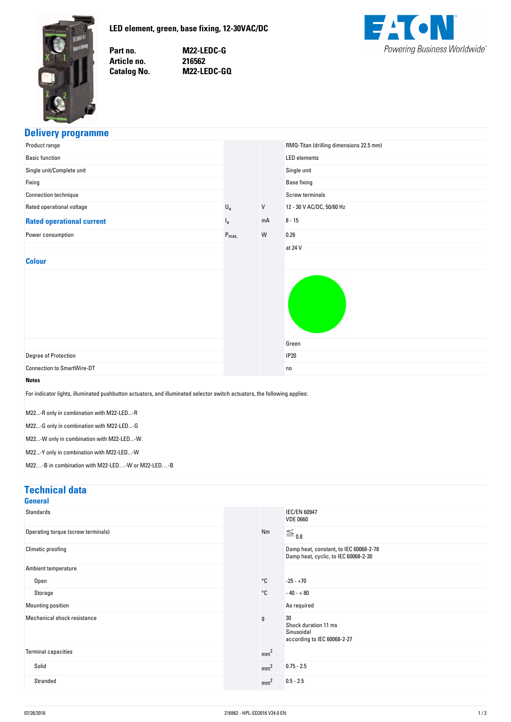<span id="page-0-0"></span>

**no. M22-LEDC-G no. 216562 No. M22-LEDC-GQ**



## **Delivery-programme**

| Product range                                                                                                                                                                                                                                                                                                                                                                 |                           |         | RMQ-Titan (drilling dimensions 22.5 mm) |
|-------------------------------------------------------------------------------------------------------------------------------------------------------------------------------------------------------------------------------------------------------------------------------------------------------------------------------------------------------------------------------|---------------------------|---------|-----------------------------------------|
| <b>Basic function</b>                                                                                                                                                                                                                                                                                                                                                         |                           |         | <b>LED</b> elements                     |
| Single unit/Complete unit                                                                                                                                                                                                                                                                                                                                                     |                           |         | Single unit                             |
| Fixing                                                                                                                                                                                                                                                                                                                                                                        |                           |         | <b>Base fixing</b>                      |
| Connection technique                                                                                                                                                                                                                                                                                                                                                          |                           |         | Screw terminals                         |
| Rated operational voltage                                                                                                                                                                                                                                                                                                                                                     | $\mathsf{U}_{\mathsf{e}}$ | $\sf V$ | 12 - 30 V AC/DC, 50/60 Hz               |
| <b>Rated operational current</b>                                                                                                                                                                                                                                                                                                                                              | $I_{e}$                   | mA      | $8 - 15$                                |
| Power consumption                                                                                                                                                                                                                                                                                                                                                             | $P_{\text{max}}$          | W       | 0.26                                    |
|                                                                                                                                                                                                                                                                                                                                                                               |                           |         | at 24 V                                 |
| <b>Colour</b>                                                                                                                                                                                                                                                                                                                                                                 |                           |         |                                         |
|                                                                                                                                                                                                                                                                                                                                                                               |                           |         | Green                                   |
| Degree of Protection                                                                                                                                                                                                                                                                                                                                                          |                           |         | <b>IP20</b>                             |
| <b>Connection to SmartWire-DT</b>                                                                                                                                                                                                                                                                                                                                             |                           |         | no                                      |
| <b>Notes</b><br>For indicator lights, illuminated pushbutton actuators, and illuminated selector switch actuators, the following applies:<br>M22-R only in combination with M22-LED-R<br>M22-G only in combination with M22-LED-G<br>M22-W only in combination with M22-LED-W<br>M22-Y only in combination with M22-LED-W<br>M22-B in combination with M22-LED-W or M22-LED-B |                           |         |                                         |

## **Technical-data**

| General                            |                 |                                                                                |
|------------------------------------|-----------------|--------------------------------------------------------------------------------|
| <b>Standards</b>                   |                 | <b>IEC/EN 60947</b><br><b>VDE 0660</b>                                         |
| Operating torque (screw terminals) | Nm              | $\equiv$ 0.8                                                                   |
| Climatic proofing                  |                 | Damp heat, constant, to IEC 60068-2-78<br>Damp heat, cyclic, to IEC 60068-2-30 |
| Ambient temperature                |                 |                                                                                |
| Open                               | $^{\circ}$ C    | $-25 - +70$                                                                    |
| Storage                            | °C              | $-40 - +80$                                                                    |
| Mounting position                  |                 | As required                                                                    |
| Mechanical shock resistance        | g               | 30<br>Shock duration 11 ms<br>Sinusoidal<br>according to IEC 60068-2-27        |
| <b>Terminal capacities</b>         | mm <sup>2</sup> |                                                                                |
| Solid                              | mm <sup>2</sup> | $0.75 - 2.5$                                                                   |
| Stranded                           | mm <sup>2</sup> | $0.5 - 2.5$                                                                    |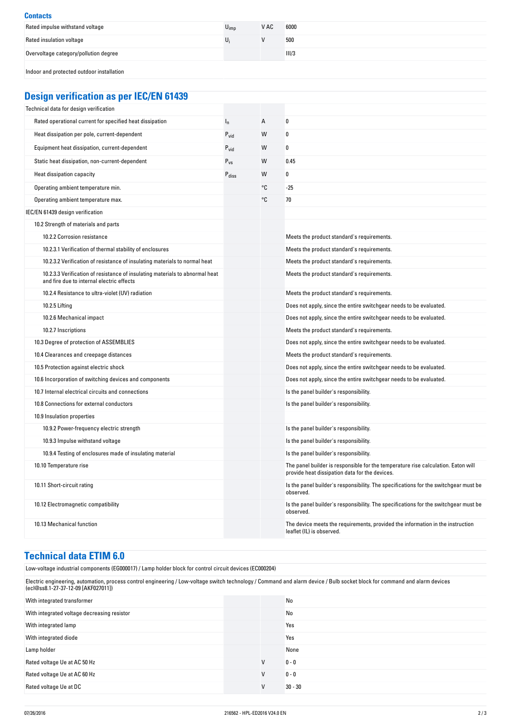## **Contacts** Rated impulse withstand voltage  $U_{\text{imp}}$  V AC 6000 Rated insulation voltage  $U_i$  500 Overvoltage category/pollution degree III/3 Indoor and protected outdoor installation

# **Design-verification-as-per-IEC/EN-61439**

| Technical data for design verification                                                                                    |                   |    |                                                                                                                                     |
|---------------------------------------------------------------------------------------------------------------------------|-------------------|----|-------------------------------------------------------------------------------------------------------------------------------------|
| Rated operational current for specified heat dissipation                                                                  | $I_{n}$           | А  | 0                                                                                                                                   |
| Heat dissipation per pole, current-dependent                                                                              | $P_{\text{vid}}$  | W  | $\mathbf{0}$                                                                                                                        |
| Equipment heat dissipation, current-dependent                                                                             | $P_{\text{vid}}$  | W  | $\mathbf{0}$                                                                                                                        |
| Static heat dissipation, non-current-dependent                                                                            | $P_{VS}$          | W  | 0.45                                                                                                                                |
| Heat dissipation capacity                                                                                                 | $P_{\text{diss}}$ | W  | $\mathbf{0}$                                                                                                                        |
| Operating ambient temperature min.                                                                                        |                   | °C | $-25$                                                                                                                               |
| Operating ambient temperature max.                                                                                        |                   | °C | 70                                                                                                                                  |
| IEC/EN 61439 design verification                                                                                          |                   |    |                                                                                                                                     |
| 10.2 Strength of materials and parts                                                                                      |                   |    |                                                                                                                                     |
| 10.2.2 Corrosion resistance                                                                                               |                   |    | Meets the product standard's requirements.                                                                                          |
| 10.2.3.1 Verification of thermal stability of enclosures                                                                  |                   |    | Meets the product standard's requirements.                                                                                          |
| 10.2.3.2 Verification of resistance of insulating materials to normal heat                                                |                   |    | Meets the product standard's requirements.                                                                                          |
| 10.2.3.3 Verification of resistance of insulating materials to abnormal heat<br>and fire due to internal electric effects |                   |    | Meets the product standard's requirements.                                                                                          |
| 10.2.4 Resistance to ultra-violet (UV) radiation                                                                          |                   |    | Meets the product standard's requirements.                                                                                          |
| 10.2.5 Lifting                                                                                                            |                   |    | Does not apply, since the entire switchgear needs to be evaluated.                                                                  |
| 10.2.6 Mechanical impact                                                                                                  |                   |    | Does not apply, since the entire switchgear needs to be evaluated.                                                                  |
| 10.2.7 Inscriptions                                                                                                       |                   |    | Meets the product standard's requirements.                                                                                          |
| 10.3 Degree of protection of ASSEMBLIES                                                                                   |                   |    | Does not apply, since the entire switchgear needs to be evaluated.                                                                  |
| 10.4 Clearances and creepage distances                                                                                    |                   |    | Meets the product standard's requirements.                                                                                          |
| 10.5 Protection against electric shock                                                                                    |                   |    | Does not apply, since the entire switchgear needs to be evaluated.                                                                  |
| 10.6 Incorporation of switching devices and components                                                                    |                   |    | Does not apply, since the entire switchgear needs to be evaluated.                                                                  |
| 10.7 Internal electrical circuits and connections                                                                         |                   |    | Is the panel builder's responsibility.                                                                                              |
| 10.8 Connections for external conductors                                                                                  |                   |    | Is the panel builder's responsibility.                                                                                              |
| 10.9 Insulation properties                                                                                                |                   |    |                                                                                                                                     |
| 10.9.2 Power-frequency electric strength                                                                                  |                   |    | Is the panel builder's responsibility.                                                                                              |
| 10.9.3 Impulse withstand voltage                                                                                          |                   |    | Is the panel builder's responsibility.                                                                                              |
| 10.9.4 Testing of enclosures made of insulating material                                                                  |                   |    | Is the panel builder's responsibility.                                                                                              |
| 10.10 Temperature rise                                                                                                    |                   |    | The panel builder is responsible for the temperature rise calculation. Eaton will<br>provide heat dissipation data for the devices. |
| 10.11 Short-circuit rating                                                                                                |                   |    | Is the panel builder's responsibility. The specifications for the switchgear must be<br>observed.                                   |
| 10.12 Electromagnetic compatibility                                                                                       |                   |    | Is the panel builder's responsibility. The specifications for the switchgear must be<br>observed.                                   |
| 10.13 Mechanical function                                                                                                 |                   |    | The device meets the requirements, provided the information in the instruction<br>leaflet (IL) is observed.                         |

## **Technical-data-ETIM-6.0**

| Low-voltage industrial components (EG000017) / Lamp holder block for control circuit devices (EC000204)                                                                                                           |   |           |
|-------------------------------------------------------------------------------------------------------------------------------------------------------------------------------------------------------------------|---|-----------|
| Electric engineering, automation, process control engineering / Low-voltage switch technology / Command and alarm device / Bulb socket block for command and alarm devices<br>(ecl@ss8.1-27-37-12-09 [AKF027011]) |   |           |
| With integrated transformer                                                                                                                                                                                       |   | No        |
| With integrated voltage decreasing resistor                                                                                                                                                                       |   | No        |
| With integrated lamp                                                                                                                                                                                              |   | Yes       |
| With integrated diode                                                                                                                                                                                             |   | Yes       |
| Lamp holder                                                                                                                                                                                                       |   | None      |
| Rated voltage Ue at AC 50 Hz                                                                                                                                                                                      | V | $0 - 0$   |
| Rated voltage Ue at AC 60 Hz                                                                                                                                                                                      | V | $0 - 0$   |
| Rated voltage Ue at DC                                                                                                                                                                                            | V | $30 - 30$ |